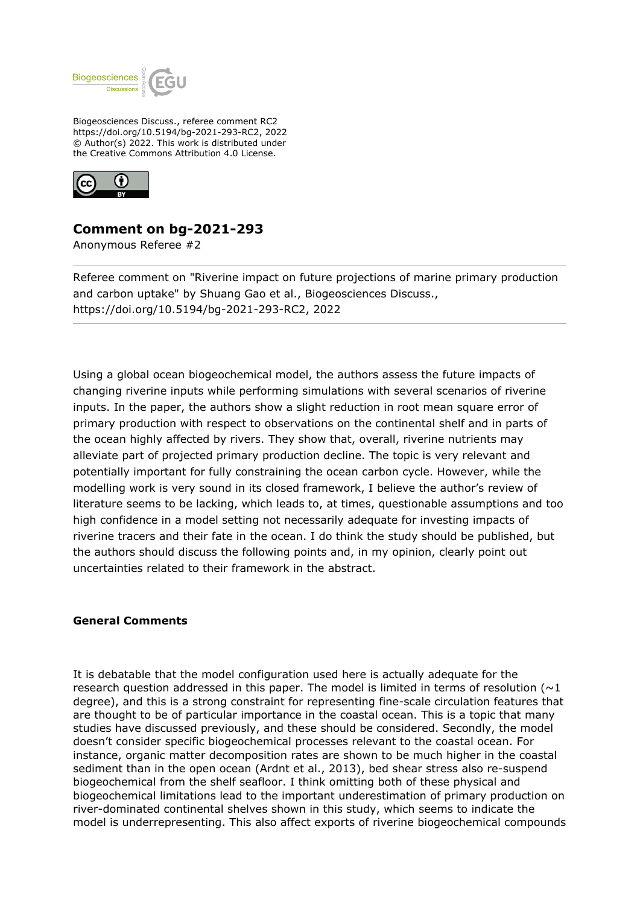

Biogeosciences Discuss., referee comment RC2 https://doi.org/10.5194/bg-2021-293-RC2, 2022 © Author(s) 2022. This work is distributed under the Creative Commons Attribution 4.0 License.



# **Comment on bg-2021-293**

Anonymous Referee #2

Referee comment on "Riverine impact on future projections of marine primary production and carbon uptake" by Shuang Gao et al., Biogeosciences Discuss., https://doi.org/10.5194/bg-2021-293-RC2, 2022

Using a global ocean biogeochemical model, the authors assess the future impacts of changing riverine inputs while performing simulations with several scenarios of riverine inputs. In the paper, the authors show a slight reduction in root mean square error of primary production with respect to observations on the continental shelf and in parts of the ocean highly affected by rivers. They show that, overall, riverine nutrients may alleviate part of projected primary production decline. The topic is very relevant and potentially important for fully constraining the ocean carbon cycle. However, while the modelling work is very sound in its closed framework, I believe the author's review of literature seems to be lacking, which leads to, at times, questionable assumptions and too high confidence in a model setting not necessarily adequate for investing impacts of riverine tracers and their fate in the ocean. I do think the study should be published, but the authors should discuss the following points and, in my opinion, clearly point out uncertainties related to their framework in the abstract.

## **General Comments**

It is debatable that the model configuration used here is actually adequate for the research question addressed in this paper. The model is limited in terms of resolution ( $\sim$ 1) degree), and this is a strong constraint for representing fine-scale circulation features that are thought to be of particular importance in the coastal ocean. This is a topic that many studies have discussed previously, and these should be considered. Secondly, the model doesn't consider specific biogeochemical processes relevant to the coastal ocean. For instance, organic matter decomposition rates are shown to be much higher in the coastal sediment than in the open ocean (Ardnt et al., 2013), bed shear stress also re-suspend biogeochemical from the shelf seafloor. I think omitting both of these physical and biogeochemical limitations lead to the important underestimation of primary production on river-dominated continental shelves shown in this study, which seems to indicate the model is underrepresenting. This also affect exports of riverine biogeochemical compounds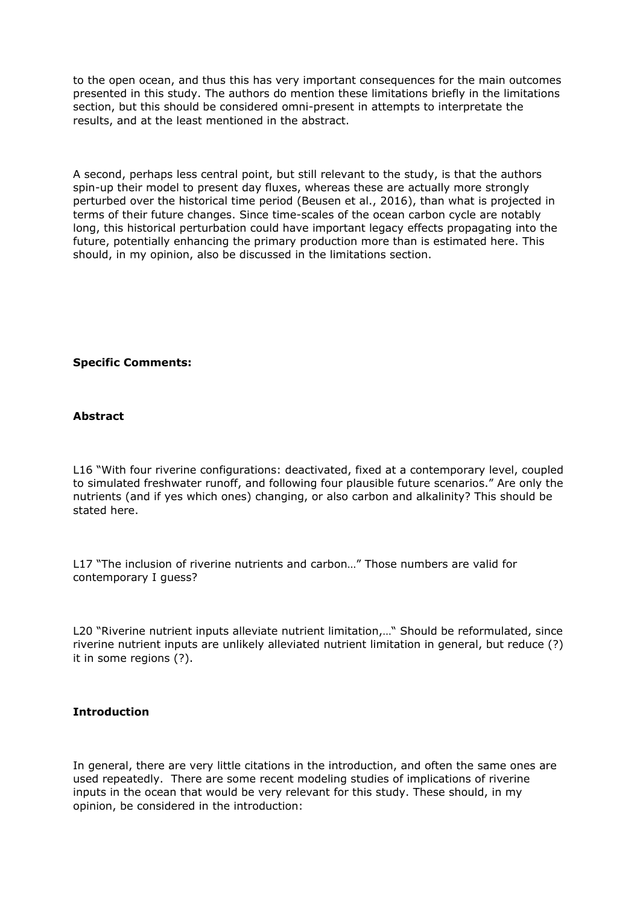to the open ocean, and thus this has very important consequences for the main outcomes presented in this study. The authors do mention these limitations briefly in the limitations section, but this should be considered omni-present in attempts to interpretate the results, and at the least mentioned in the abstract.

A second, perhaps less central point, but still relevant to the study, is that the authors spin-up their model to present day fluxes, whereas these are actually more strongly perturbed over the historical time period (Beusen et al., 2016), than what is projected in terms of their future changes. Since time-scales of the ocean carbon cycle are notably long, this historical perturbation could have important legacy effects propagating into the future, potentially enhancing the primary production more than is estimated here. This should, in my opinion, also be discussed in the limitations section.

### **Specific Comments:**

#### **Abstract**

L16 "With four riverine configurations: deactivated, fixed at a contemporary level, coupled to simulated freshwater runoff, and following four plausible future scenarios." Are only the nutrients (and if yes which ones) changing, or also carbon and alkalinity? This should be stated here.

L17 "The inclusion of riverine nutrients and carbon…" Those numbers are valid for contemporary I guess?

L20 "Riverine nutrient inputs alleviate nutrient limitation,…" Should be reformulated, since riverine nutrient inputs are unlikely alleviated nutrient limitation in general, but reduce (?) it in some regions (?).

#### **Introduction**

In general, there are very little citations in the introduction, and often the same ones are used repeatedly. There are some recent modeling studies of implications of riverine inputs in the ocean that would be very relevant for this study. These should, in my opinion, be considered in the introduction: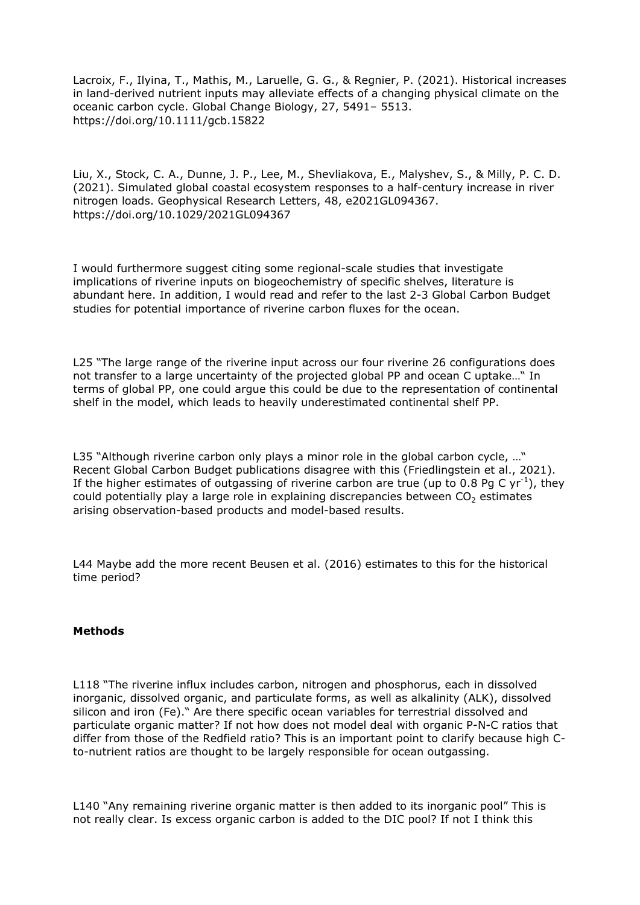Lacroix, F., Ilyina, T., Mathis, M., Laruelle, G. G., & Regnier, P. (2021). Historical increases in land-derived nutrient inputs may alleviate effects of a changing physical climate on the oceanic carbon cycle. Global Change Biology, 27, 5491– 5513. https://doi.org/10.1111/gcb.15822

Liu, X., Stock, C. A., Dunne, J. P., Lee, M., Shevliakova, E., Malyshev, S., & Milly, P. C. D. (2021). Simulated global coastal ecosystem responses to a half-century increase in river nitrogen loads. Geophysical Research Letters, 48, e2021GL094367. https://doi.org/10.1029/2021GL094367

I would furthermore suggest citing some regional-scale studies that investigate implications of riverine inputs on biogeochemistry of specific shelves, literature is abundant here. In addition, I would read and refer to the last 2-3 Global Carbon Budget studies for potential importance of riverine carbon fluxes for the ocean.

L25 "The large range of the riverine input across our four riverine 26 configurations does not transfer to a large uncertainty of the projected global PP and ocean C uptake…" In terms of global PP, one could argue this could be due to the representation of continental shelf in the model, which leads to heavily underestimated continental shelf PP.

L35 "Although riverine carbon only plays a minor role in the global carbon cycle, ..." Recent Global Carbon Budget publications disagree with this (Friedlingstein et al., 2021). If the higher estimates of outgassing of riverine carbon are true (up to 0.8 Pg C yr<sup>-1</sup>), they could potentially play a large role in explaining discrepancies between  $CO<sub>2</sub>$  estimates arising observation-based products and model-based results.

L44 Maybe add the more recent Beusen et al. (2016) estimates to this for the historical time period?

#### **Methods**

L118 "The riverine influx includes carbon, nitrogen and phosphorus, each in dissolved inorganic, dissolved organic, and particulate forms, as well as alkalinity (ALK), dissolved silicon and iron (Fe)." Are there specific ocean variables for terrestrial dissolved and particulate organic matter? If not how does not model deal with organic P-N-C ratios that differ from those of the Redfield ratio? This is an important point to clarify because high Cto-nutrient ratios are thought to be largely responsible for ocean outgassing.

L140 "Any remaining riverine organic matter is then added to its inorganic pool" This is not really clear. Is excess organic carbon is added to the DIC pool? If not I think this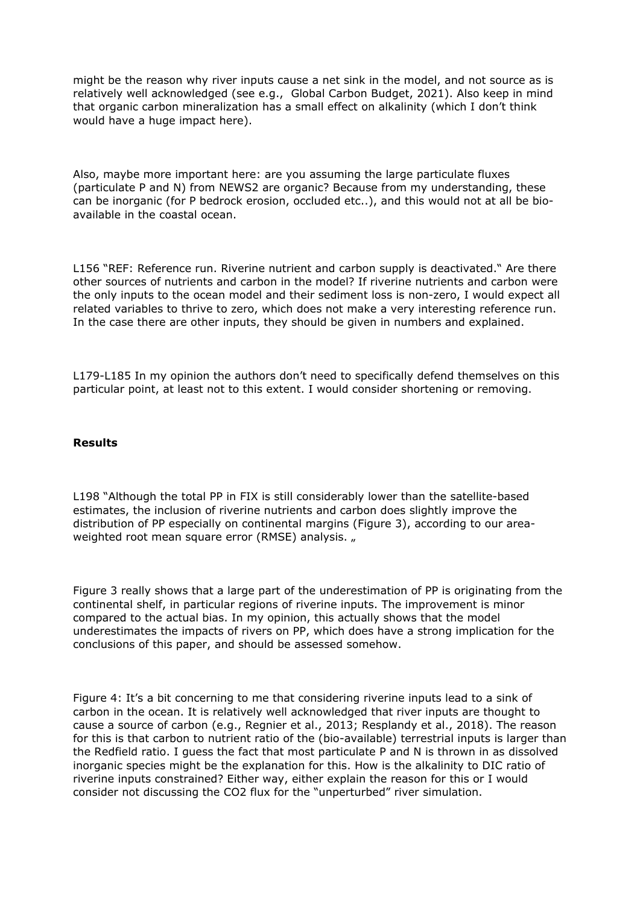might be the reason why river inputs cause a net sink in the model, and not source as is relatively well acknowledged (see e.g., Global Carbon Budget, 2021). Also keep in mind that organic carbon mineralization has a small effect on alkalinity (which I don't think would have a huge impact here).

Also, maybe more important here: are you assuming the large particulate fluxes (particulate P and N) from NEWS2 are organic? Because from my understanding, these can be inorganic (for P bedrock erosion, occluded etc..), and this would not at all be bioavailable in the coastal ocean.

L156 "REF: Reference run. Riverine nutrient and carbon supply is deactivated." Are there other sources of nutrients and carbon in the model? If riverine nutrients and carbon were the only inputs to the ocean model and their sediment loss is non-zero, I would expect all related variables to thrive to zero, which does not make a very interesting reference run. In the case there are other inputs, they should be given in numbers and explained.

L179-L185 In my opinion the authors don't need to specifically defend themselves on this particular point, at least not to this extent. I would consider shortening or removing.

#### **Results**

L198 "Although the total PP in FIX is still considerably lower than the satellite-based estimates, the inclusion of riverine nutrients and carbon does slightly improve the distribution of PP especially on continental margins (Figure 3), according to our areaweighted root mean square error (RMSE) analysis. "

Figure 3 really shows that a large part of the underestimation of PP is originating from the continental shelf, in particular regions of riverine inputs. The improvement is minor compared to the actual bias. In my opinion, this actually shows that the model underestimates the impacts of rivers on PP, which does have a strong implication for the conclusions of this paper, and should be assessed somehow.

Figure 4: It's a bit concerning to me that considering riverine inputs lead to a sink of carbon in the ocean. It is relatively well acknowledged that river inputs are thought to cause a source of carbon (e.g., Regnier et al., 2013; Resplandy et al., 2018). The reason for this is that carbon to nutrient ratio of the (bio-available) terrestrial inputs is larger than the Redfield ratio. I guess the fact that most particulate P and N is thrown in as dissolved inorganic species might be the explanation for this. How is the alkalinity to DIC ratio of riverine inputs constrained? Either way, either explain the reason for this or I would consider not discussing the CO2 flux for the "unperturbed" river simulation.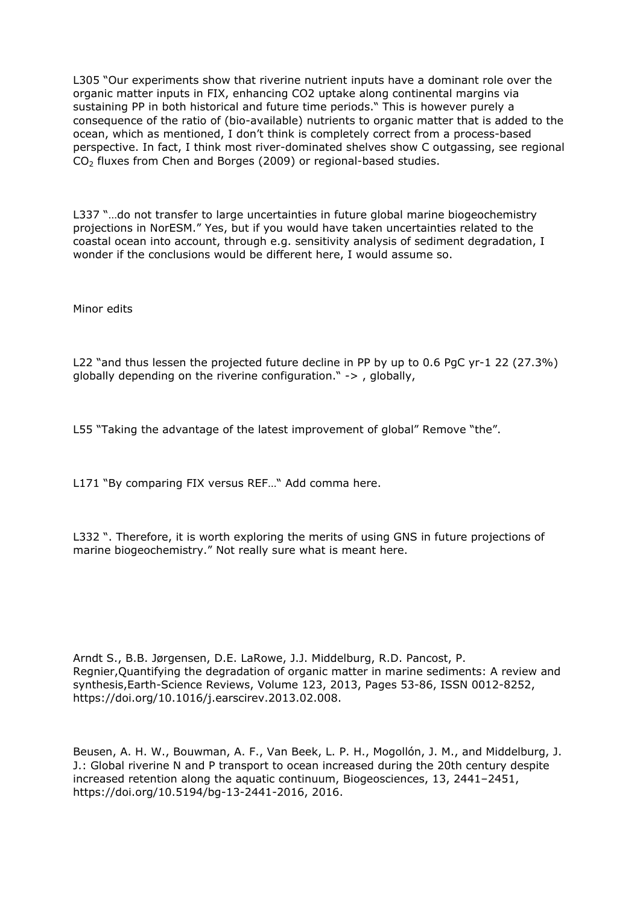L305 "Our experiments show that riverine nutrient inputs have a dominant role over the organic matter inputs in FIX, enhancing CO2 uptake along continental margins via sustaining PP in both historical and future time periods." This is however purely a consequence of the ratio of (bio-available) nutrients to organic matter that is added to the ocean, which as mentioned, I don't think is completely correct from a process-based perspective. In fact, I think most river-dominated shelves show C outgassing, see regional  $CO<sub>2</sub>$  fluxes from Chen and Borges (2009) or regional-based studies.

L337 "…do not transfer to large uncertainties in future global marine biogeochemistry projections in NorESM." Yes, but if you would have taken uncertainties related to the coastal ocean into account, through e.g. sensitivity analysis of sediment degradation, I wonder if the conclusions would be different here, I would assume so.

Minor edits

L22 "and thus lessen the projected future decline in PP by up to 0.6 PqC yr-1 22 (27.3%) globally depending on the riverine configuration." -> , globally,

L55 "Taking the advantage of the latest improvement of global" Remove "the".

L171 "By comparing FIX versus REF…" Add comma here.

L332 ". Therefore, it is worth exploring the merits of using GNS in future projections of marine biogeochemistry." Not really sure what is meant here.

Arndt S., B.B. Jørgensen, D.E. LaRowe, J.J. Middelburg, R.D. Pancost, P. Regnier,Quantifying the degradation of organic matter in marine sediments: A review and synthesis,Earth-Science Reviews, Volume 123, 2013, Pages 53-86, ISSN 0012-8252, https://doi.org/10.1016/j.earscirev.2013.02.008.

Beusen, A. H. W., Bouwman, A. F., Van Beek, L. P. H., Mogollón, J. M., and Middelburg, J. J.: Global riverine N and P transport to ocean increased during the 20th century despite increased retention along the aquatic continuum, Biogeosciences, 13, 2441–2451, https://doi.org/10.5194/bg-13-2441-2016, 2016.